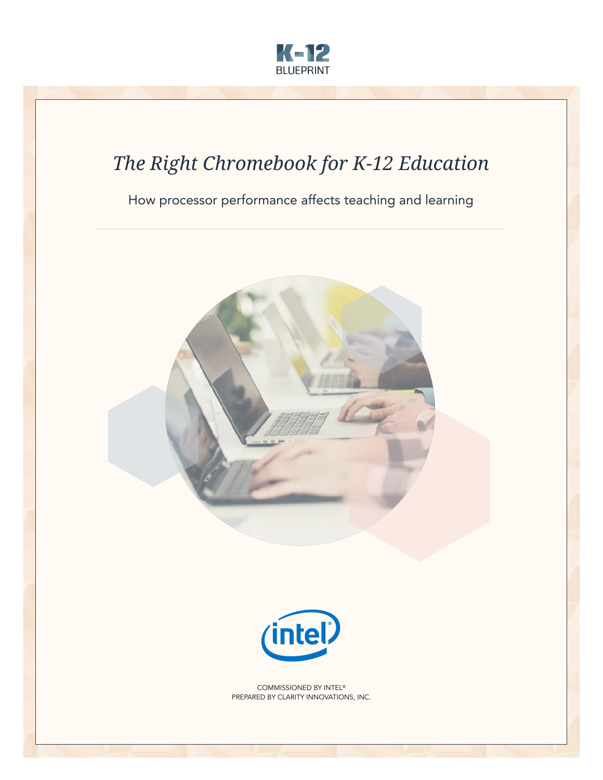

## *The Right Chromebook for K-12 Education*

How processor performance affects teaching and learning





COMMISSIONED BY INTEL® PREPARED BY CLARITY INNOVATIONS, INC.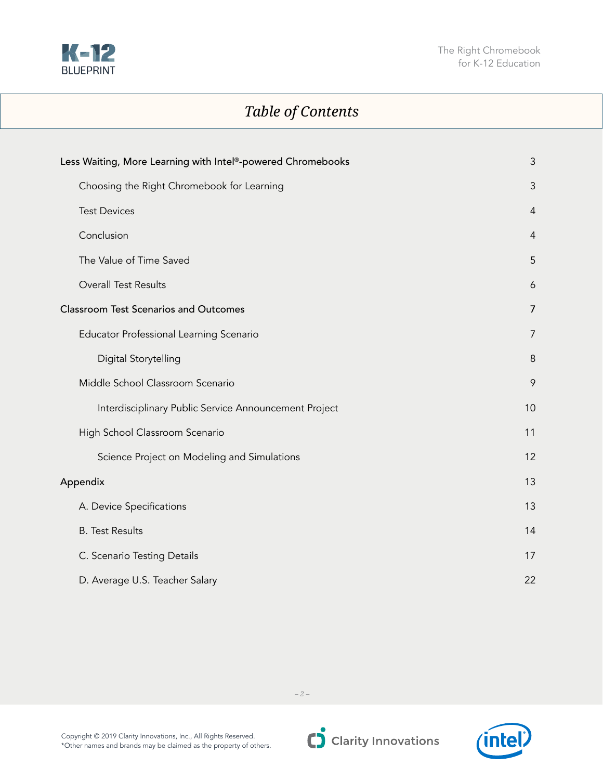

## *Table of Contents*

| Less Waiting, More Learning with Intel®-powered Chromebooks | 3              |
|-------------------------------------------------------------|----------------|
| Choosing the Right Chromebook for Learning                  | 3              |
| <b>Test Devices</b>                                         | $\overline{4}$ |
| Conclusion                                                  | $\overline{4}$ |
| The Value of Time Saved                                     | 5              |
| Overall Test Results                                        | 6              |
| <b>Classroom Test Scenarios and Outcomes</b>                | $\overline{7}$ |
| Educator Professional Learning Scenario                     | 7              |
| Digital Storytelling                                        | 8              |
| Middle School Classroom Scenario                            | 9              |
| Interdisciplinary Public Service Announcement Project       | 10             |
| High School Classroom Scenario                              | 11             |
| Science Project on Modeling and Simulations                 | 12             |
| Appendix                                                    | 13             |
| A. Device Specifications                                    | 13             |
| <b>B.</b> Test Results                                      | 14             |
| C. Scenario Testing Details                                 | 17             |
| D. Average U.S. Teacher Salary                              | 22             |

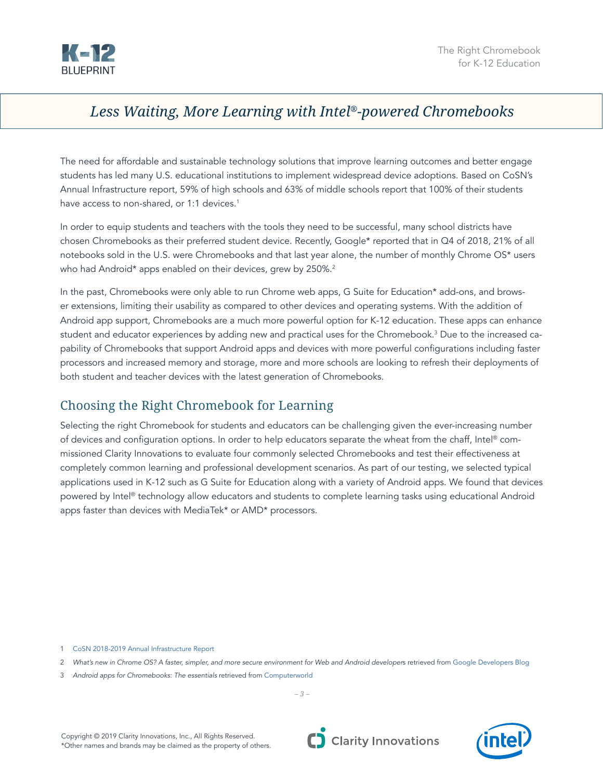<span id="page-2-0"></span>

## *Less Waiting, More Learning with Intel®-powered Chromebooks*

The need for affordable and sustainable technology solutions that improve learning outcomes and better engage students has led many U.S. educational institutions to implement widespread device adoptions. Based on CoSN's Annual Infrastructure report, 59% of high schools and 63% of middle schools report that 100% of their students have access to non-shared, or 1:1 devices.<sup>1</sup>

In order to equip students and teachers with the tools they need to be successful, many school districts have chosen Chromebooks as their preferred student device. Recently, Google\* reported that in Q4 of 2018, 21% of all notebooks sold in the U.S. were Chromebooks and that last year alone, the number of monthly Chrome OS\* users who had Android\* apps enabled on their devices, grew by 250%.<sup>2</sup>

In the past, Chromebooks were only able to run Chrome web apps, G Suite for Education\* add-ons, and browser extensions, limiting their usability as compared to other devices and operating systems. With the addition of Android app support, Chromebooks are a much more powerful option for K-12 education. These apps can enhance student and educator experiences by adding new and practical uses for the Chromebook.3 Due to the increased capability of Chromebooks that support Android apps and devices with more powerful configurations including faster processors and increased memory and storage, more and more schools are looking to refresh their deployments of both student and teacher devices with the latest generation of Chromebooks.

## Choosing the Right Chromebook for Learning

Selecting the right Chromebook for students and educators can be challenging given the ever-increasing number of devices and configuration options. In order to help educators separate the wheat from the chaff, Intel® commissioned Clarity Innovations to evaluate four commonly selected Chromebooks and test their effectiveness at completely common learning and professional development scenarios. As part of our testing, we selected typical applications used in K-12 such as G Suite for Education along with a variety of Android apps. We found that devices powered by Intel® technology allow educators and students to complete learning tasks using educational Android apps faster than devices with MediaTek\* or AMD\* processors.

1 [CoSN 2018-2019 Annual Infrastructure Report](https://www.cosn.org/sites/default/files/CoSNs%202018%202019%20Annual%20Infrastructure%20Survey%20Report%20final_0.pdf)

- 2 *What's new in Chrome OS? A faster, simpler, and more secure environment for Web and Android developer*s retrieved from [Google Developers Blog](https://developers.googleblog.com/2019/05/ChromeOS-io19.html)
- 3 *Android apps for Chromebooks: The essentials* retrieved from [Computerworld](https://www.computerworld.com/article/3234533/android-apps-for-chromebooks-the-essentials.html)

*– 3 –*



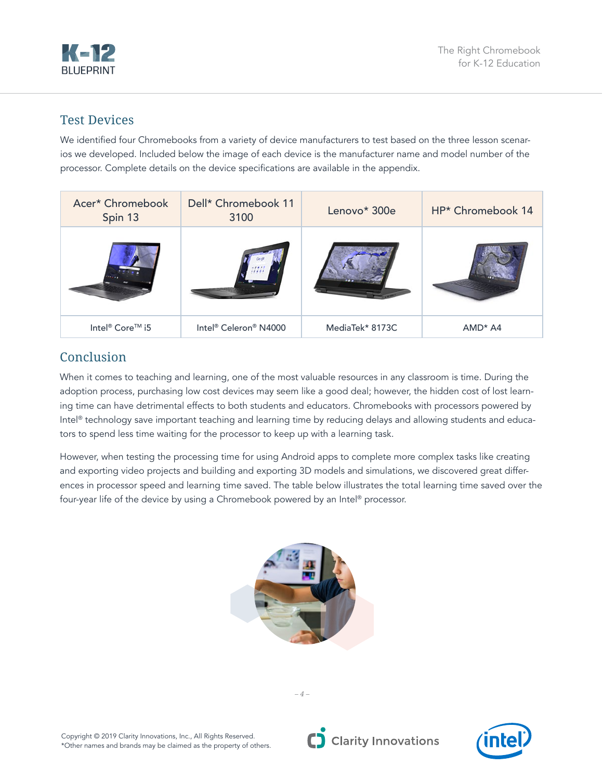<span id="page-3-0"></span>

### Test Devices

We identified four Chromebooks from a variety of device manufacturers to test based on the three lesson scenarios we developed. Included below the image of each device is the manufacturer name and model number of the processor. Complete details on the device specifications are available in the appendix.

| Acer* Chromebook<br>Spin 13 | Dell* Chromebook 11<br>3100                   | Lenovo* 300e    | HP* Chromebook 14 |
|-----------------------------|-----------------------------------------------|-----------------|-------------------|
|                             |                                               |                 |                   |
| Intel <sup>®</sup> Core™ i5 | Intel <sup>®</sup> Celeron <sup>®</sup> N4000 | MediaTek* 8173C | $AMD* A4$         |

## Conclusion

When it comes to teaching and learning, one of the most valuable resources in any classroom is time. During the adoption process, purchasing low cost devices may seem like a good deal; however, the hidden cost of lost learning time can have detrimental effects to both students and educators. Chromebooks with processors powered by Intel® technology save important teaching and learning time by reducing delays and allowing students and educators to spend less time waiting for the processor to keep up with a learning task.

However, when testing the processing time for using Android apps to complete more complex tasks like creating and exporting video projects and building and exporting 3D models and simulations, we discovered great differences in processor speed and learning time saved. The table below illustrates the total learning time saved over the four-year life of the device by using a Chromebook powered by an Intel® processor.





Copyright © 2019 Clarity Innovations, Inc., All Rights Reserved. \*Other names and brands may be claimed as the property of others. C Clarity Innovations

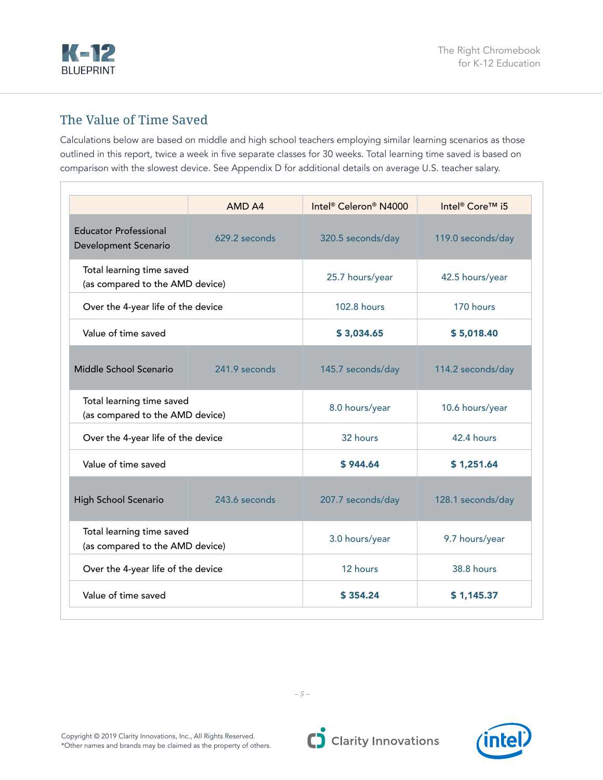<span id="page-4-0"></span>

## The Value of Time Saved

Calculations below are based on middle and high school teachers employing similar learning scenarios as those outlined in this report, twice a week in five separate classes for 30 weeks. Total learning time saved is based on comparison with the slowest device. See Appendix D for additional details on average U.S. teacher salary.

|                                                              | AMD A4        | Intel <sup>®</sup> Celeron <sup>®</sup> N4000 | Intel <sup>®</sup> Core™ i5 |  |  |  |
|--------------------------------------------------------------|---------------|-----------------------------------------------|-----------------------------|--|--|--|
| <b>Educator Professional</b><br>Development Scenario         | 629.2 seconds | 320.5 seconds/day                             | 119.0 seconds/day           |  |  |  |
| Total learning time saved<br>(as compared to the AMD device) |               | 25.7 hours/year                               | 42.5 hours/year             |  |  |  |
| Over the 4-year life of the device                           |               | <b>102.8 hours</b>                            | 170 hours                   |  |  |  |
| Value of time saved                                          |               | \$3,034.65                                    | \$5,018.40                  |  |  |  |
| Middle School Scenario                                       | 241.9 seconds | 145.7 seconds/day                             | 114.2 seconds/day           |  |  |  |
| Total learning time saved<br>(as compared to the AMD device) |               | 8.0 hours/year                                | 10.6 hours/year             |  |  |  |
| Over the 4-year life of the device                           |               | 32 hours                                      | 42.4 hours                  |  |  |  |
| Value of time saved                                          |               | \$944.64                                      | \$1,251.64                  |  |  |  |
| High School Scenario                                         | 243.6 seconds | 207.7 seconds/day                             | 128.1 seconds/day           |  |  |  |
| Total learning time saved<br>(as compared to the AMD device) |               | 3.0 hours/year                                | 9.7 hours/year              |  |  |  |
| Over the 4-year life of the device                           |               | 12 hours                                      | <b>38.8 hours</b>           |  |  |  |
| Value of time saved                                          |               | \$354.24                                      | \$1,145.37                  |  |  |  |

*– 5 –*

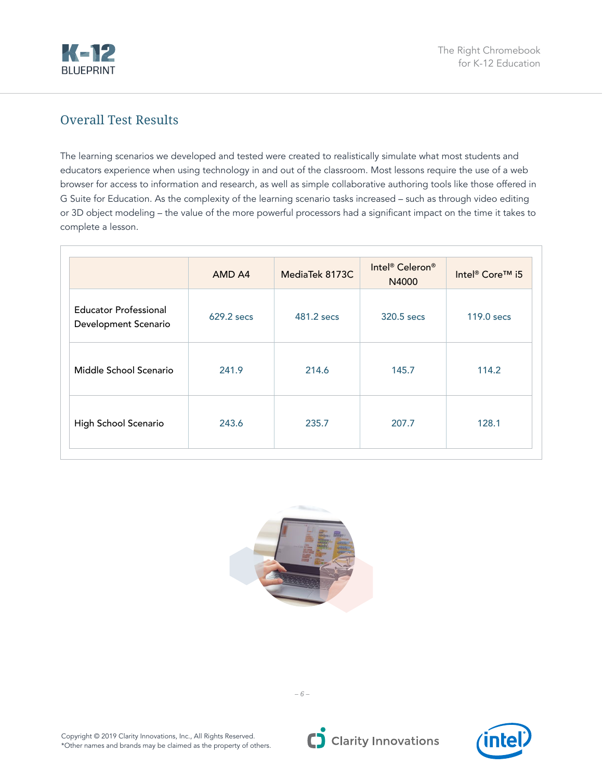<span id="page-5-0"></span>

## Overall Test Results

The learning scenarios we developed and tested were created to realistically simulate what most students and educators experience when using technology in and out of the classroom. Most lessons require the use of a web browser for access to information and research, as well as simple collaborative authoring tools like those offered in G Suite for Education. As the complexity of the learning scenario tasks increased – such as through video editing or 3D object modeling – the value of the more powerful processors had a significant impact on the time it takes to complete a lesson.

|                                                      | AMD A4     | MediaTek 8173C | Intel <sup>®</sup> Celeron <sup>®</sup><br>N4000 | Intel <sup>®</sup> Core™ i5 |
|------------------------------------------------------|------------|----------------|--------------------------------------------------|-----------------------------|
| <b>Educator Professional</b><br>Development Scenario | 629.2 secs | 481.2 secs     | 320.5 secs                                       | $119.0$ secs                |
| Middle School Scenario                               | 241.9      | 214.6          | 145.7                                            | 114.2                       |
| High School Scenario                                 | 243.6      | 235.7          | 207.7                                            | 128.1                       |





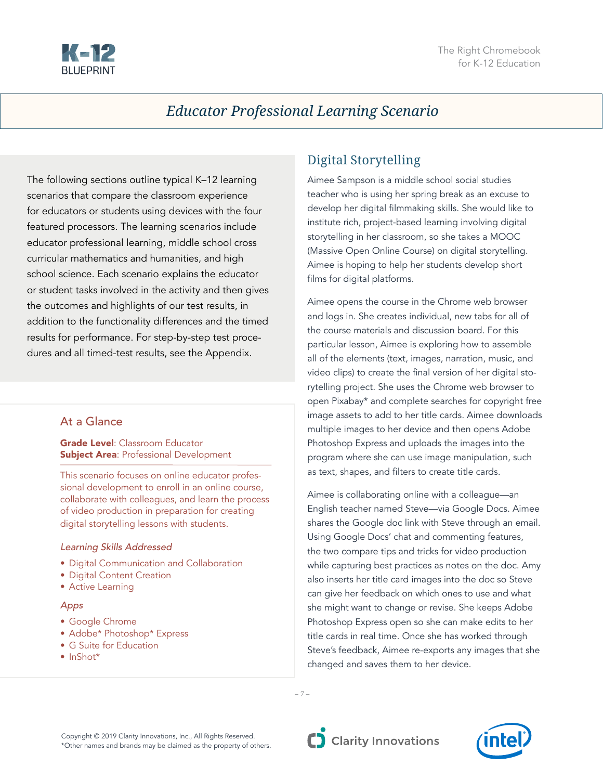<span id="page-6-0"></span>

## *Educator Professional Learning Scenario*

The following sections outline typical K–12 learning scenarios that compare the classroom experience for educators or students using devices with the four featured processors. The learning scenarios include educator professional learning, middle school cross curricular mathematics and humanities, and high school science. Each scenario explains the educator or student tasks involved in the activity and then gives the outcomes and highlights of our test results, in addition to the functionality differences and the timed results for performance. For step-by-step test procedures and all timed-test results, see the Appendix.

#### At a Glance

**Grade Level: Classroom Educator Subject Area: Professional Development** 

This scenario focuses on online educator professional development to enroll in an online course, collaborate with colleagues, and learn the process of video production in preparation for creating digital storytelling lessons with students.

#### *Learning Skills Addressed*

- Digital Communication and Collaboration
- Digital Content Creation
- Active Learning

#### *Apps*

- Google Chrome
- Adobe\* Photoshop\* Express
- G Suite for Education
- InShot\*

## Digital Storytelling

Aimee Sampson is a middle school social studies teacher who is using her spring break as an excuse to develop her digital filmmaking skills. She would like to institute rich, project-based learning involving digital storytelling in her classroom, so she takes a MOOC (Massive Open Online Course) on digital storytelling. Aimee is hoping to help her students develop short films for digital platforms.

Aimee opens the course in the Chrome web browser and logs in. She creates individual, new tabs for all of the course materials and discussion board. For this particular lesson, Aimee is exploring how to assemble all of the elements (text, images, narration, music, and video clips) to create the final version of her digital storytelling project. She uses the Chrome web browser to open Pixabay\* and complete searches for copyright free image assets to add to her title cards. Aimee downloads multiple images to her device and then opens Adobe Photoshop Express and uploads the images into the program where she can use image manipulation, such as text, shapes, and filters to create title cards.

Aimee is collaborating online with a colleague—an English teacher named Steve—via Google Docs. Aimee shares the Google doc link with Steve through an email. Using Google Docs' chat and commenting features, the two compare tips and tricks for video production while capturing best practices as notes on the doc. Amy also inserts her title card images into the doc so Steve can give her feedback on which ones to use and what she might want to change or revise. She keeps Adobe Photoshop Express open so she can make edits to her title cards in real time. Once she has worked through Steve's feedback, Aimee re-exports any images that she changed and saves them to her device.



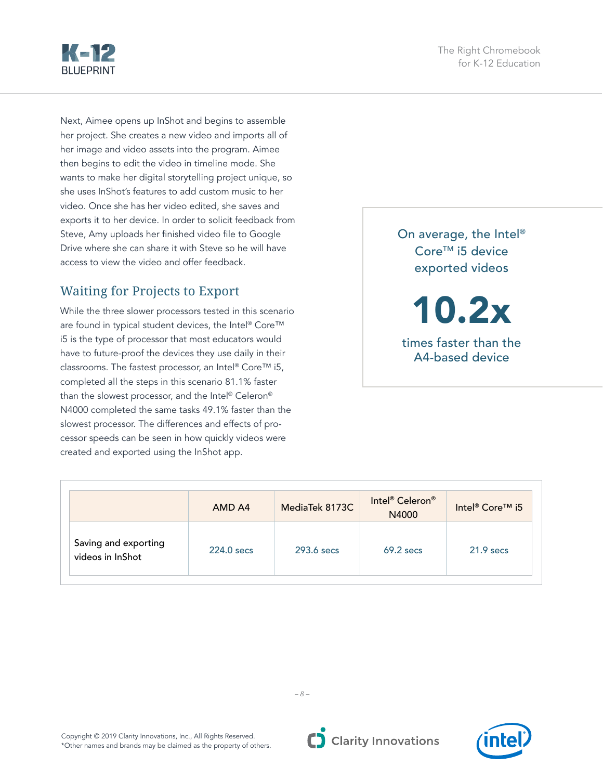<span id="page-7-0"></span>

Next, Aimee opens up InShot and begins to assemble her project. She creates a new video and imports all of her image and video assets into the program. Aimee then begins to edit the video in timeline mode. She wants to make her digital storytelling project unique, so she uses InShot's features to add custom music to her video. Once she has her video edited, she saves and exports it to her device. In order to solicit feedback from Steve, Amy uploads her finished video file to Google Drive where she can share it with Steve so he will have access to view the video and offer feedback.

## Waiting for Projects to Export

While the three slower processors tested in this scenario are found in typical student devices, the Intel® Core™ i5 is the type of processor that most educators would have to future-proof the devices they use daily in their classrooms. The fastest processor, an Intel® Core™ i5, completed all the steps in this scenario 81.1% faster than the slowest processor, and the Intel® Celeron® N4000 completed the same tasks 49.1% faster than the slowest processor. The differences and effects of processor speeds can be seen in how quickly videos were created and exported using the InShot app.

On average, the Intel® Core<sup>™</sup> i5 device exported videos

10.2x

times faster than the A4-based device

|                                          | AMD A4     | MediaTek 8173C | Intel <sup>®</sup> Celeron <sup>®</sup><br>N4000 | Intel <sup>®</sup> Core™ i5 |
|------------------------------------------|------------|----------------|--------------------------------------------------|-----------------------------|
| Saving and exporting<br>videos in InShot | 224.0 secs | $293.6$ secs   | $69.2$ secs                                      | $21.9$ secs                 |

*– 8 –*

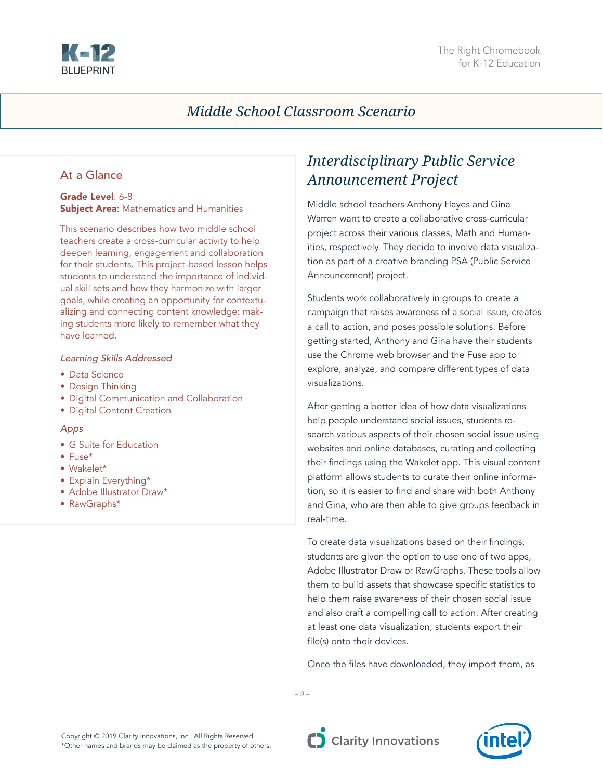<span id="page-8-0"></span>

## *Middle School Classroom Scenario*

#### At a Glance

#### Grade Level: 6-8 **Subject Area: Mathematics and Humanities**

This scenario describes how two middle school teachers create a cross-curricular activity to help deepen learning, engagement and collaboration for their students. This project-based lesson helps students to understand the importance of individual skill sets and how they harmonize with larger goals, while creating an opportunity for contextualizing and connecting content knowledge: making students more likely to remember what they have learned.

#### *Learning Skills Addressed*

- Data Science
- Design Thinking
- Digital Communication and Collaboration
- Digital Content Creation

#### *Apps*

- G Suite for Education
- Fuse\*
- Wakelet\*
- Explain Everything\*
- Adobe Illustrator Draw\*
- RawGraphs\*

## *Interdisciplinary Public Service Announcement Project*

Middle school teachers Anthony Hayes and Gina Warren want to create a collaborative cross-curricular project across their various classes, Math and Humanities, respectively. They decide to involve data visualization as part of a creative branding PSA (Public Service Announcement) project.

Students work collaboratively in groups to create a campaign that raises awareness of a social issue, creates a call to action, and poses possible solutions. Before getting started, Anthony and Gina have their students use the Chrome web browser and the Fuse app to explore, analyze, and compare different types of data visualizations.

After getting a better idea of how data visualizations help people understand social issues, students research various aspects of their chosen social issue using websites and online databases, curating and collecting their findings using the Wakelet app. This visual content platform allows students to curate their online information, so it is easier to find and share with both Anthony and Gina, who are then able to give groups feedback in real-time.

To create data visualizations based on their findings, students are given the option to use one of two apps, Adobe Illustrator Draw or RawGraphs. These tools allow them to build assets that showcase specific statistics to help them raise awareness of their chosen social issue and also craft a compelling call to action. After creating at least one data visualization, students export their file(s) onto their devices.

Once the files have downloaded, they import them, as

*– 9 –*



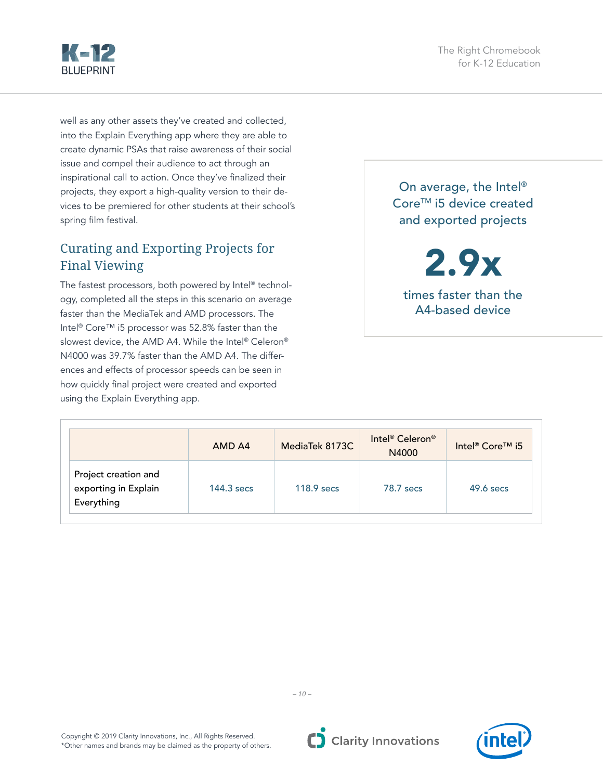

<span id="page-9-0"></span>Kap **BLUEPRINT** 

well as any other assets they've created and collected, into the Explain Everything app where they are able to create dynamic PSAs that raise awareness of their social issue and compel their audience to act through an inspirational call to action. Once they've finalized their projects, they export a high-quality version to their devices to be premiered for other students at their school's spring film festival.

## Curating and Exporting Projects for Final Viewing

The fastest processors, both powered by Intel® technology, completed all the steps in this scenario on average faster than the MediaTek and AMD processors. The Intel® Core™ i5 processor was 52.8% faster than the slowest device, the AMD A4. While the Intel® Celeron® N4000 was 39.7% faster than the AMD A4. The differences and effects of processor speeds can be seen in how quickly final project were created and exported using the Explain Everything app.

On average, the Intel® Core<sup>™</sup> i5 device created and exported projects

2.9x times faster than the A4-based device

|                                                            | AMD A4     | MediaTek 8173C | Intel <sup>®</sup> Celeron <sup>®</sup><br>N4000 | Intel <sup>®</sup> Core <sup>™</sup> i5 |
|------------------------------------------------------------|------------|----------------|--------------------------------------------------|-----------------------------------------|
| Project creation and<br>exporting in Explain<br>Everything | 144.3 secs | $118.9$ secs   | 78.7 secs                                        | $49.6$ secs                             |





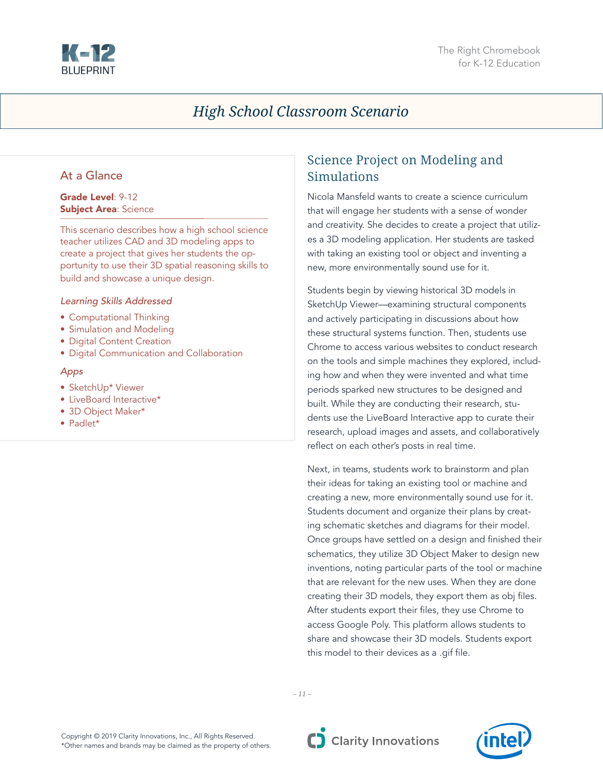<span id="page-10-0"></span>

## *High School Classroom Scenario*

#### At a Glance

#### Grade Level: 9-12 Subject Area: Science

This scenario describes how a high school science teacher utilizes CAD and 3D modeling apps to create a project that gives her students the opportunity to use their 3D spatial reasoning skills to build and showcase a unique design.

#### *Learning Skills Addressed*

- Computational Thinking
- Simulation and Modeling
- Digital Content Creation
- Digital Communication and Collaboration

#### *Apps*

- SketchUp\* Viewer
- LiveBoard Interactive\*
- 3D Object Maker\*
- Padlet\*

## Science Project on Modeling and Simulations

Nicola Mansfeld wants to create a science curriculum that will engage her students with a sense of wonder and creativity. She decides to create a project that utilizes a 3D modeling application. Her students are tasked with taking an existing tool or object and inventing a new, more environmentally sound use for it.

Students begin by viewing historical 3D models in SketchUp Viewer—examining structural components and actively participating in discussions about how these structural systems function. Then, students use Chrome to access various websites to conduct research on the tools and simple machines they explored, including how and when they were invented and what time periods sparked new structures to be designed and built. While they are conducting their research, students use the LiveBoard Interactive app to curate their research, upload images and assets, and collaboratively reflect on each other's posts in real time.

Next, in teams, students work to brainstorm and plan their ideas for taking an existing tool or machine and creating a new, more environmentally sound use for it. Students document and organize their plans by creating schematic sketches and diagrams for their model. Once groups have settled on a design and finished their schematics, they utilize 3D Object Maker to design new inventions, noting particular parts of the tool or machine that are relevant for the new uses. When they are done creating their 3D models, they export them as obj files. After students export their files, they use Chrome to access Google Poly. This platform allows students to share and showcase their 3D models. Students export this model to their devices as a .gif file.



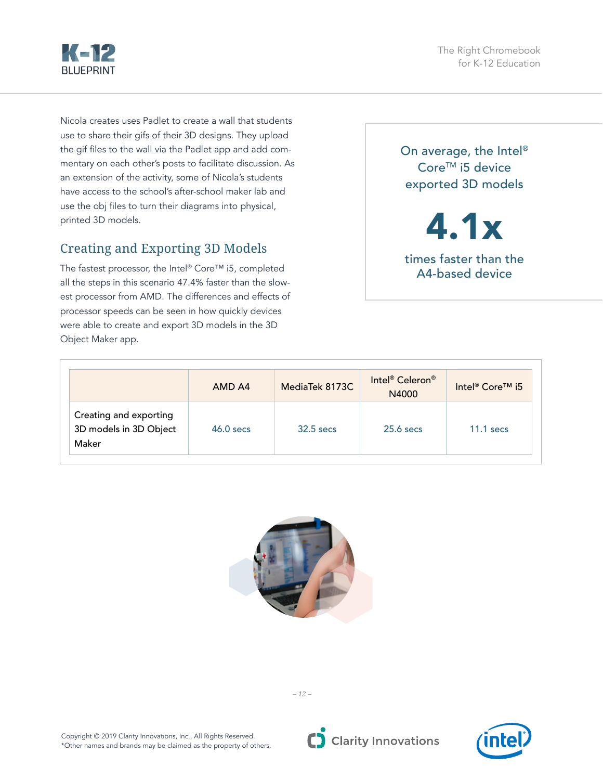<span id="page-11-0"></span>

The Right Chromebook for K-12 Education

Nicola creates uses Padlet to create a wall that students use to share their gifs of their 3D designs. They upload the gif files to the wall via the Padlet app and add commentary on each other's posts to facilitate discussion. As an extension of the activity, some of Nicola's students have access to the school's after-school maker lab and use the obj files to turn their diagrams into physical, printed 3D models.

## Creating and Exporting 3D Models

The fastest processor, the Intel® Core™ i5, completed all the steps in this scenario 47.4% faster than the slowest processor from AMD. The differences and effects of processor speeds can be seen in how quickly devices were able to create and export 3D models in the 3D Object Maker app.

On average, the Intel® Core<sup>™</sup> i5 device exported 3D models

4.1x

times faster than the A4-based device

|                                                           | AMD A4      | MediaTek 8173C | Intel <sup>®</sup> Celeron <sup>®</sup><br>N4000 | Intel <sup>®</sup> Core <sup>™</sup> i5 |
|-----------------------------------------------------------|-------------|----------------|--------------------------------------------------|-----------------------------------------|
| Creating and exporting<br>3D models in 3D Object<br>Maker | $46.0$ secs | $32.5$ secs    | $25.6$ secs                                      | $11.1$ secs                             |





C Clarity Innovations

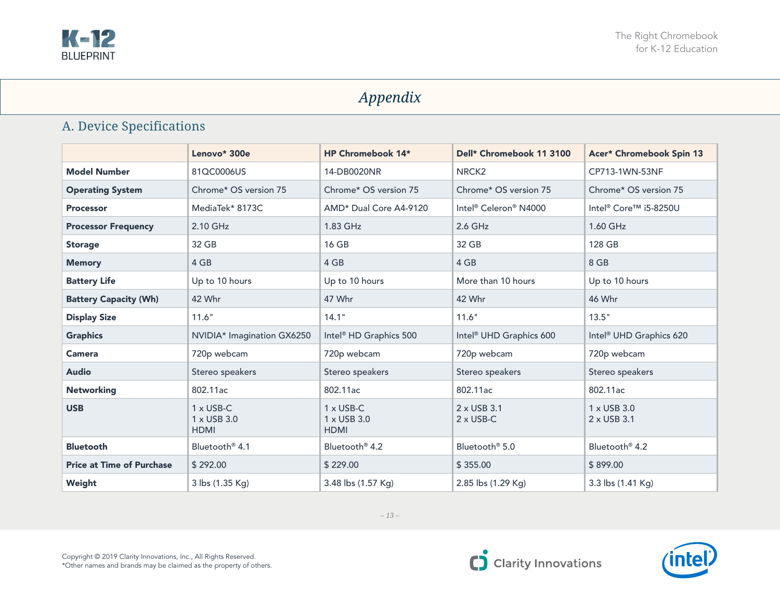<span id="page-12-0"></span>

## *Appendix*

## A. Device Specifications

|                                  | Lenovo* 300e                                   | HP Chromebook 14*                              | Dell* Chromebook 11 3100            | Acer* Chromebook Spin 13            |
|----------------------------------|------------------------------------------------|------------------------------------------------|-------------------------------------|-------------------------------------|
| <b>Model Number</b>              | 81QC0006US                                     | 14-DB0020NR                                    | NRCK <sub>2</sub>                   | CP713-1WN-53NF                      |
| <b>Operating System</b>          | Chrome* OS version 75                          | Chrome* OS version 75                          | Chrome* OS version 75               | Chrome* OS version 75               |
| <b>Processor</b>                 | MediaTek* 8173C                                | AMD* Dual Core A4-9120                         | Intel® Celeron® N4000               | Intel® Core™ i5-8250U               |
| <b>Processor Frequency</b>       | 2.10 GHz                                       | 1.83 GHz                                       | 2.6 GHz                             | 1.60 GHz                            |
| <b>Storage</b>                   | 32 GB                                          | 16 GB                                          | 32 GB                               | 128 GB                              |
| <b>Memory</b>                    | 4 GB                                           | 4 GB                                           | 4 GB                                | 8 GB                                |
| <b>Battery Life</b>              | Up to 10 hours                                 | Up to 10 hours                                 | More than 10 hours                  | Up to 10 hours                      |
| <b>Battery Capacity (Wh)</b>     | 42 Whr                                         | 47 Whr                                         | 42 Whr                              | 46 Whr                              |
| <b>Display Size</b>              | 11.6"                                          | 14.1"                                          | 11.6"                               | 13.5"                               |
| <b>Graphics</b>                  | NVIDIA* Imagination GX6250                     | Intel <sup>®</sup> HD Graphics 500             | Intel <sup>®</sup> UHD Graphics 600 | Intel <sup>®</sup> UHD Graphics 620 |
| <b>Camera</b>                    | 720p webcam                                    | 720p webcam                                    | 720p webcam                         | 720p webcam                         |
| <b>Audio</b>                     | Stereo speakers                                | Stereo speakers                                | Stereo speakers                     | Stereo speakers                     |
| <b>Networking</b>                | 802.11ac                                       | 802.11ac                                       | 802.11ac                            | 802.11ac                            |
| <b>USB</b>                       | $1 \times$ USB-C<br>1 x USB 3.0<br><b>HDMI</b> | $1 \times$ USB-C<br>1 x USB 3.0<br><b>HDMI</b> | 2 x USB 3.1<br>$2 \times$ USB-C     | 1 x USB 3.0<br>2 x USB 3.1          |
| <b>Bluetooth</b>                 | Bluetooth <sup>®</sup> 4.1                     | Bluetooth <sup>®</sup> 4.2                     | Bluetooth <sup>®</sup> 5.0          | Bluetooth <sup>®</sup> 4.2          |
| <b>Price at Time of Purchase</b> | \$292.00                                       | \$229.00                                       | \$355.00                            | \$899.00                            |
| Weight                           | 3 lbs (1.35 Kg)                                | 3.48 lbs (1.57 Kg)                             | 2.85 lbs (1.29 Kg)                  | 3.3 lbs (1.41 Kg)                   |



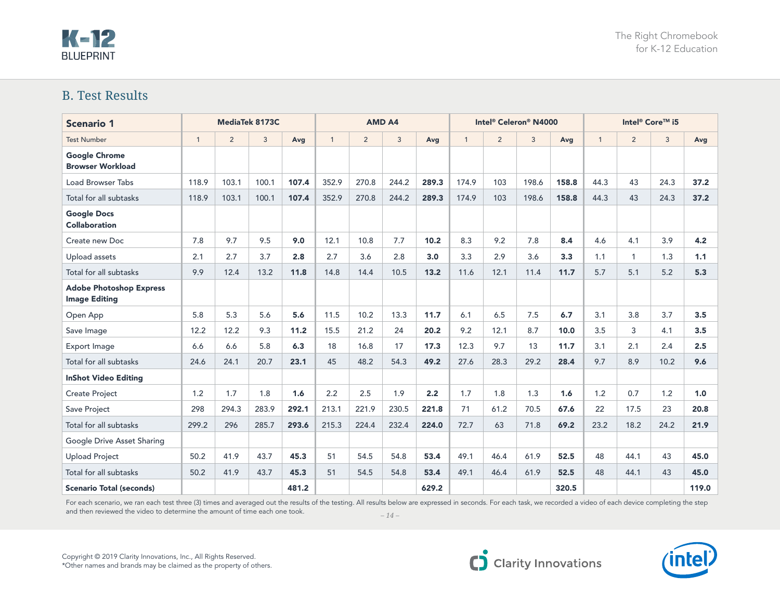## <span id="page-13-0"></span>**K-12 BLUEPRINT**

### B. Test Results

| <b>Scenario 1</b>                                      | MediaTek 8173C |                |       | <b>AMD A4</b> |              |       |       |       |              | Intel <sup>®</sup> Celeron® N4000 |       | Intel <sup>®</sup> Core™ i5 |              |                |              |       |
|--------------------------------------------------------|----------------|----------------|-------|---------------|--------------|-------|-------|-------|--------------|-----------------------------------|-------|-----------------------------|--------------|----------------|--------------|-------|
| <b>Test Number</b>                                     | $\mathbf{1}$   | $\overline{2}$ | 3     | Avg           | $\mathbf{1}$ | 2     | 3     | Avg   | $\mathbf{1}$ | $\overline{2}$                    | 3     | Avg                         | $\mathbf{1}$ | $\overline{2}$ | $\mathbf{3}$ | Avg   |
| <b>Google Chrome</b><br><b>Browser Workload</b>        |                |                |       |               |              |       |       |       |              |                                   |       |                             |              |                |              |       |
| <b>Load Browser Tabs</b>                               | 118.9          | 103.1          | 100.1 | 107.4         | 352.9        | 270.8 | 244.2 | 289.3 | 174.9        | 103                               | 198.6 | 158.8                       | 44.3         | 43             | 24.3         | 37.2  |
| Total for all subtasks                                 | 118.9          | 103.1          | 100.1 | 107.4         | 352.9        | 270.8 | 244.2 | 289.3 | 174.9        | 103                               | 198.6 | 158.8                       | 44.3         | 43             | 24.3         | 37.2  |
| <b>Google Docs</b><br><b>Collaboration</b>             |                |                |       |               |              |       |       |       |              |                                   |       |                             |              |                |              |       |
| Create new Doc                                         | 7.8            | 9.7            | 9.5   | 9.0           | 12.1         | 10.8  | 7.7   | 10.2  | 8.3          | 9.2                               | 7.8   | 8.4                         | 4.6          | 4.1            | 3.9          | 4.2   |
| Upload assets                                          | 2.1            | 2.7            | 3.7   | 2.8           | 2.7          | 3.6   | 2.8   | 3.0   | 3.3          | 2.9                               | 3.6   | 3.3                         | 1.1          | 1              | 1.3          | 1.1   |
| Total for all subtasks                                 | 9.9            | 12.4           | 13.2  | 11.8          | 14.8         | 14.4  | 10.5  | 13.2  | 11.6         | 12.1                              | 11.4  | 11.7                        | 5.7          | 5.1            | 5.2          | 5.3   |
| <b>Adobe Photoshop Express</b><br><b>Image Editing</b> |                |                |       |               |              |       |       |       |              |                                   |       |                             |              |                |              |       |
| Open App                                               | 5.8            | 5.3            | 5.6   | 5.6           | 11.5         | 10.2  | 13.3  | 11.7  | 6.1          | 6.5                               | 7.5   | 6.7                         | 3.1          | 3.8            | 3.7          | 3.5   |
| Save Image                                             | 12.2           | 12.2           | 9.3   | 11.2          | 15.5         | 21.2  | 24    | 20.2  | 9.2          | 12.1                              | 8.7   | 10.0                        | 3.5          | 3              | 4.1          | 3.5   |
| Export Image                                           | 6.6            | 6.6            | 5.8   | 6.3           | 18           | 16.8  | 17    | 17.3  | 12.3         | 9.7                               | 13    | 11.7                        | 3.1          | 2.1            | 2.4          | 2.5   |
| Total for all subtasks                                 | 24.6           | 24.1           | 20.7  | 23.1          | 45           | 48.2  | 54.3  | 49.2  | 27.6         | 28.3                              | 29.2  | 28.4                        | 9.7          | 8.9            | 10.2         | 9.6   |
| <b>InShot Video Editing</b>                            |                |                |       |               |              |       |       |       |              |                                   |       |                             |              |                |              |       |
| <b>Create Project</b>                                  | 1.2            | 1.7            | 1.8   | 1.6           | 2.2          | 2.5   | 1.9   | 2.2   | 1.7          | 1.8                               | 1.3   | 1.6                         | 1.2          | 0.7            | 1.2          | 1.0   |
| Save Project                                           | 298            | 294.3          | 283.9 | 292.1         | 213.1        | 221.9 | 230.5 | 221.8 | 71           | 61.2                              | 70.5  | 67.6                        | 22           | 17.5           | 23           | 20.8  |
| Total for all subtasks                                 | 299.2          | 296            | 285.7 | 293.6         | 215.3        | 224.4 | 232.4 | 224.0 | 72.7         | 63                                | 71.8  | 69.2                        | 23.2         | 18.2           | 24.2         | 21.9  |
| Google Drive Asset Sharing                             |                |                |       |               |              |       |       |       |              |                                   |       |                             |              |                |              |       |
| <b>Upload Project</b>                                  | 50.2           | 41.9           | 43.7  | 45.3          | 51           | 54.5  | 54.8  | 53.4  | 49.1         | 46.4                              | 61.9  | 52.5                        | 48           | 44.1           | 43           | 45.0  |
| Total for all subtasks                                 | 50.2           | 41.9           | 43.7  | 45.3          | 51           | 54.5  | 54.8  | 53.4  | 49.1         | 46.4                              | 61.9  | 52.5                        | 48           | 44.1           | 43           | 45.0  |
| <b>Scenario Total (seconds)</b>                        |                |                |       | 481.2         |              |       |       | 629.2 |              |                                   |       | 320.5                       |              |                |              | 119.0 |

For each scenario, we ran each test three (3) times and averaged out the results of the testing. All results below are expressed in seconds. For each task, we recorded a video of each device completing the step and then reviewed the video to determine the amount of time each one took.

*– 14 –*



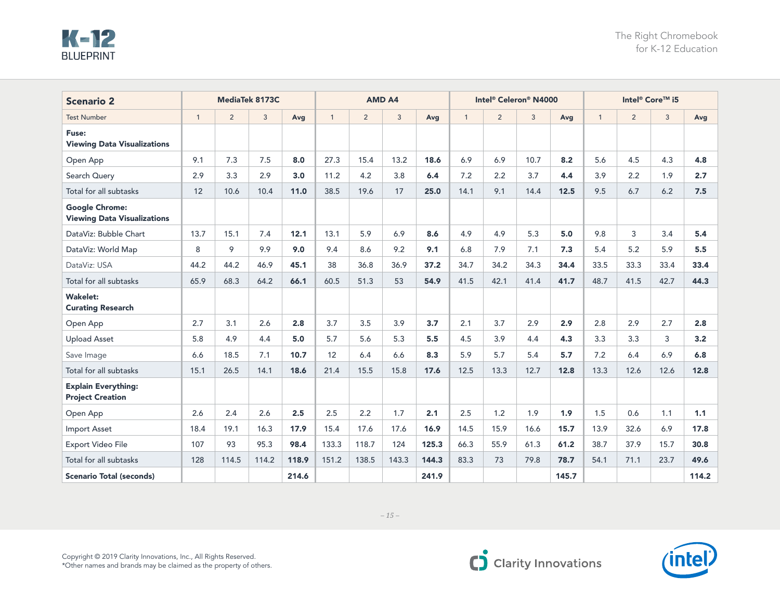| <b>Scenario 2</b>                                           |              | MediaTek 8173C |       |       |              |                | <b>AMD A4</b> |       |              | Intel® Celeron® N4000 |      |       | Intel <sup>®</sup> Core™ i5 |                |      |       |
|-------------------------------------------------------------|--------------|----------------|-------|-------|--------------|----------------|---------------|-------|--------------|-----------------------|------|-------|-----------------------------|----------------|------|-------|
| <b>Test Number</b>                                          | $\mathbf{1}$ | $\overline{2}$ | 3     | Avg   | $\mathbf{1}$ | $\overline{2}$ | $\mathbf{3}$  | Avg   | $\mathbf{1}$ | $\overline{2}$        | 3    | Avg   | $\mathbf{1}$                | $\overline{2}$ | 3    | Avg   |
| Fuse:<br><b>Viewing Data Visualizations</b>                 |              |                |       |       |              |                |               |       |              |                       |      |       |                             |                |      |       |
| Open App                                                    | 9.1          | 7.3            | 7.5   | 8.0   | 27.3         | 15.4           | 13.2          | 18.6  | 6.9          | 6.9                   | 10.7 | 8.2   | 5.6                         | 4.5            | 4.3  | 4.8   |
| Search Query                                                | 2.9          | 3.3            | 2.9   | 3.0   | 11.2         | 4.2            | 3.8           | 6.4   | 7.2          | 2.2                   | 3.7  | 4.4   | 3.9                         | 2.2            | 1.9  | 2.7   |
| Total for all subtasks                                      | 12           | 10.6           | 10.4  | 11.0  | 38.5         | 19.6           | 17            | 25.0  | 14.1         | 9.1                   | 14.4 | 12.5  | 9.5                         | 6.7            | 6.2  | 7.5   |
| <b>Google Chrome:</b><br><b>Viewing Data Visualizations</b> |              |                |       |       |              |                |               |       |              |                       |      |       |                             |                |      |       |
| DataViz: Bubble Chart                                       | 13.7         | 15.1           | 7.4   | 12.1  | 13.1         | 5.9            | 6.9           | 8.6   | 4.9          | 4.9                   | 5.3  | 5.0   | 9.8                         | 3              | 3.4  | 5.4   |
| DataViz: World Map                                          | 8            | 9              | 9.9   | 9.0   | 9.4          | 8.6            | 9.2           | 9.1   | 6.8          | 7.9                   | 7.1  | 7.3   | 5.4                         | 5.2            | 5.9  | 5.5   |
| DataViz: USA                                                | 44.2         | 44.2           | 46.9  | 45.1  | 38           | 36.8           | 36.9          | 37.2  | 34.7         | 34.2                  | 34.3 | 34.4  | 33.5                        | 33.3           | 33.4 | 33.4  |
| Total for all subtasks                                      | 65.9         | 68.3           | 64.2  | 66.1  | 60.5         | 51.3           | 53            | 54.9  | 41.5         | 42.1                  | 41.4 | 41.7  | 48.7                        | 41.5           | 42.7 | 44.3  |
| <b>Wakelet:</b><br><b>Curating Research</b>                 |              |                |       |       |              |                |               |       |              |                       |      |       |                             |                |      |       |
| Open App                                                    | 2.7          | 3.1            | 2.6   | 2.8   | 3.7          | 3.5            | 3.9           | 3.7   | 2.1          | 3.7                   | 2.9  | 2.9   | 2.8                         | 2.9            | 2.7  | 2.8   |
| <b>Upload Asset</b>                                         | 5.8          | 4.9            | 4.4   | 5.0   | 5.7          | 5.6            | 5.3           | 5.5   | 4.5          | 3.9                   | 4.4  | 4.3   | 3.3                         | 3.3            | 3    | 3.2   |
| Save Image                                                  | 6.6          | 18.5           | 7.1   | 10.7  | 12           | 6.4            | 6.6           | 8.3   | 5.9          | 5.7                   | 5.4  | 5.7   | 7.2                         | 6.4            | 6.9  | 6.8   |
| Total for all subtasks                                      | 15.1         | 26.5           | 14.1  | 18.6  | 21.4         | 15.5           | 15.8          | 17.6  | 12.5         | 13.3                  | 12.7 | 12.8  | 13.3                        | 12.6           | 12.6 | 12.8  |
| <b>Explain Everything:</b><br><b>Project Creation</b>       |              |                |       |       |              |                |               |       |              |                       |      |       |                             |                |      |       |
| Open App                                                    | 2.6          | 2.4            | 2.6   | 2.5   | 2.5          | 2.2            | 1.7           | 2.1   | 2.5          | 1.2                   | 1.9  | 1.9   | 1.5                         | 0.6            | 1.1  | 1.1   |
| <b>Import Asset</b>                                         | 18.4         | 19.1           | 16.3  | 17.9  | 15.4         | 17.6           | 17.6          | 16.9  | 14.5         | 15.9                  | 16.6 | 15.7  | 13.9                        | 32.6           | 6.9  | 17.8  |
| Export Video File                                           | 107          | 93             | 95.3  | 98.4  | 133.3        | 118.7          | 124           | 125.3 | 66.3         | 55.9                  | 61.3 | 61.2  | 38.7                        | 37.9           | 15.7 | 30.8  |
| Total for all subtasks                                      | 128          | 114.5          | 114.2 | 118.9 | 151.2        | 138.5          | 143.3         | 144.3 | 83.3         | 73                    | 79.8 | 78.7  | 54.1                        | 71.1           | 23.7 | 49.6  |
| <b>Scenario Total (seconds)</b>                             |              |                |       | 214.6 |              |                |               | 241.9 |              |                       |      | 145.7 |                             |                |      | 114.2 |



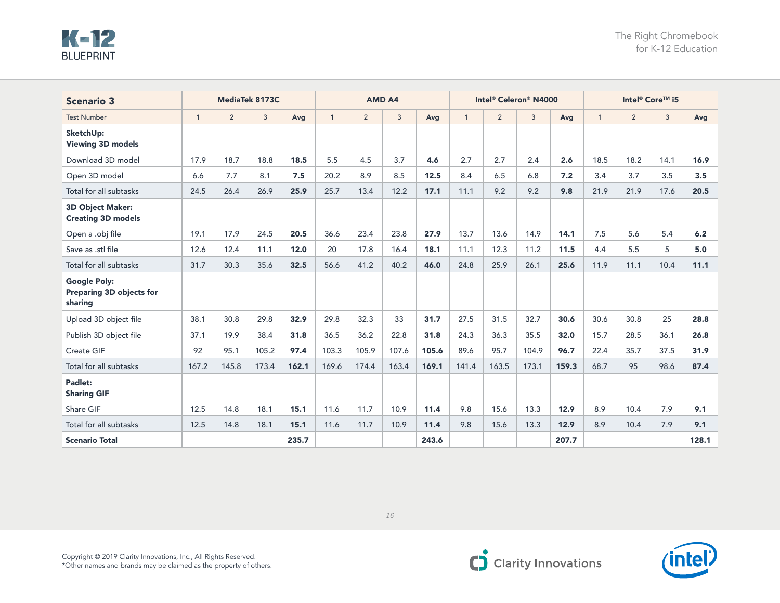| <b>Scenario 3</b>                                          |              |                | MediaTek 8173C |       |              |       | <b>AMD A4</b> |       |              | Intel® Celeron® N4000 |       |       | Intel <sup>®</sup> Core™ i5 |                |      |       |
|------------------------------------------------------------|--------------|----------------|----------------|-------|--------------|-------|---------------|-------|--------------|-----------------------|-------|-------|-----------------------------|----------------|------|-------|
| <b>Test Number</b>                                         | $\mathbf{1}$ | $\overline{2}$ | 3              | Avg   | $\mathbf{1}$ | 2     | 3             | Avg   | $\mathbf{1}$ | $\overline{2}$        | 3     | Avg   | $\mathbf{1}$                | $\overline{2}$ | 3    | Avg   |
| SketchUp:<br><b>Viewing 3D models</b>                      |              |                |                |       |              |       |               |       |              |                       |       |       |                             |                |      |       |
| Download 3D model                                          | 17.9         | 18.7           | 18.8           | 18.5  | 5.5          | 4.5   | 3.7           | 4.6   | 2.7          | 2.7                   | 2.4   | 2.6   | 18.5                        | 18.2           | 14.1 | 16.9  |
| Open 3D model                                              | 6.6          | 7.7            | 8.1            | 7.5   | 20.2         | 8.9   | 8.5           | 12.5  | 8.4          | 6.5                   | 6.8   | $7.2$ | 3.4                         | 3.7            | 3.5  | 3.5   |
| Total for all subtasks                                     | 24.5         | 26.4           | 26.9           | 25.9  | 25.7         | 13.4  | 12.2          | 17.1  | 11.1         | 9.2                   | 9.2   | 9.8   | 21.9                        | 21.9           | 17.6 | 20.5  |
| 3D Object Maker:<br><b>Creating 3D models</b>              |              |                |                |       |              |       |               |       |              |                       |       |       |                             |                |      |       |
| Open a .obj file                                           | 19.1         | 17.9           | 24.5           | 20.5  | 36.6         | 23.4  | 23.8          | 27.9  | 13.7         | 13.6                  | 14.9  | 14.1  | 7.5                         | 5.6            | 5.4  | 6.2   |
| Save as .stl file                                          | 12.6         | 12.4           | 11.1           | 12.0  | 20           | 17.8  | 16.4          | 18.1  | 11.1         | 12.3                  | 11.2  | 11.5  | 4.4                         | 5.5            | 5    | 5.0   |
| Total for all subtasks                                     | 31.7         | 30.3           | 35.6           | 32.5  | 56.6         | 41.2  | 40.2          | 46.0  | 24.8         | 25.9                  | 26.1  | 25.6  | 11.9                        | 11.1           | 10.4 | 11.1  |
| <b>Google Poly:</b><br>Preparing 3D objects for<br>sharing |              |                |                |       |              |       |               |       |              |                       |       |       |                             |                |      |       |
| Upload 3D object file                                      | 38.1         | 30.8           | 29.8           | 32.9  | 29.8         | 32.3  | 33            | 31.7  | 27.5         | 31.5                  | 32.7  | 30.6  | 30.6                        | 30.8           | 25   | 28.8  |
| Publish 3D object file                                     | 37.1         | 19.9           | 38.4           | 31.8  | 36.5         | 36.2  | 22.8          | 31.8  | 24.3         | 36.3                  | 35.5  | 32.0  | 15.7                        | 28.5           | 36.1 | 26.8  |
| Create GIF                                                 | 92           | 95.1           | 105.2          | 97.4  | 103.3        | 105.9 | 107.6         | 105.6 | 89.6         | 95.7                  | 104.9 | 96.7  | 22.4                        | 35.7           | 37.5 | 31.9  |
| Total for all subtasks                                     | 167.2        | 145.8          | 173.4          | 162.1 | 169.6        | 174.4 | 163.4         | 169.1 | 141.4        | 163.5                 | 173.1 | 159.3 | 68.7                        | 95             | 98.6 | 87.4  |
| Padlet:<br><b>Sharing GIF</b>                              |              |                |                |       |              |       |               |       |              |                       |       |       |                             |                |      |       |
| Share GIF                                                  | 12.5         | 14.8           | 18.1           | 15.1  | 11.6         | 11.7  | 10.9          | 11.4  | 9.8          | 15.6                  | 13.3  | 12.9  | 8.9                         | 10.4           | 7.9  | 9.1   |
| Total for all subtasks                                     | 12.5         | 14.8           | 18.1           | 15.1  | 11.6         | 11.7  | 10.9          | 11.4  | 9.8          | 15.6                  | 13.3  | 12.9  | 8.9                         | 10.4           | 7.9  | 9.1   |
| <b>Scenario Total</b>                                      |              |                |                | 235.7 |              |       |               | 243.6 |              |                       |       | 207.7 |                             |                |      | 128.1 |



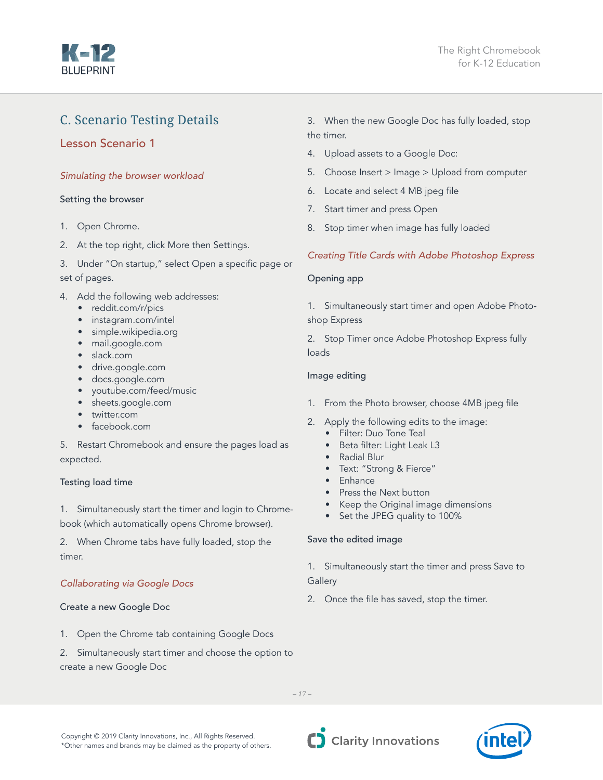<span id="page-16-0"></span>

## C. Scenario Testing Details

#### Lesson Scenario 1

#### *Simulating the browser workload*

#### Setting the browser

- 1. Open Chrome.
- 2. At the top right, click More then Settings.
- 3. Under "On startup," select Open a specific page or set of pages.
- 4. Add the following web addresses:
	- reddit.com/r/pics
	- instagram.com/intel
	- simple.wikipedia.org
	- mail.google.com
	- slack.com
	- drive.google.com
	- docs.google.com
	- youtube.com/feed/music
	- sheets.google.com
	- twitter.com
	- facebook.com

5. Restart Chromebook and ensure the pages load as expected.

#### Testing load time

1. Simultaneously start the timer and login to Chromebook (which automatically opens Chrome browser).

2. When Chrome tabs have fully loaded, stop the timer.

#### *Collaborating via Google Docs*

#### Create a new Google Doc

- 1. Open the Chrome tab containing Google Docs
- 2. Simultaneously start timer and choose the option to create a new Google Doc

3. When the new Google Doc has fully loaded, stop the timer.

- 4. Upload assets to a Google Doc:
- 5. Choose Insert > Image > Upload from computer
- 6. Locate and select 4 MB jpeg file
- 7. Start timer and press Open
- 8. Stop timer when image has fully loaded

#### *Creating Title Cards with Adobe Photoshop Express*

#### Opening app

1. Simultaneously start timer and open Adobe Photoshop Express

2. Stop Timer once Adobe Photoshop Express fully loads

#### Image editing

- 1. From the Photo browser, choose 4MB jpeg file
- 2. Apply the following edits to the image:
	- Filter: Duo Tone Teal
	- Beta filter: Light Leak L3
	- Radial Blur
	- Text: "Strong & Fierce"
	- Enhance
	- Press the Next button
	- Keep the Original image dimensions
	- Set the JPEG quality to 100%

#### Save the edited image

1. Simultaneously start the timer and press Save to

#### **Gallery**

2. Once the file has saved, stop the timer.

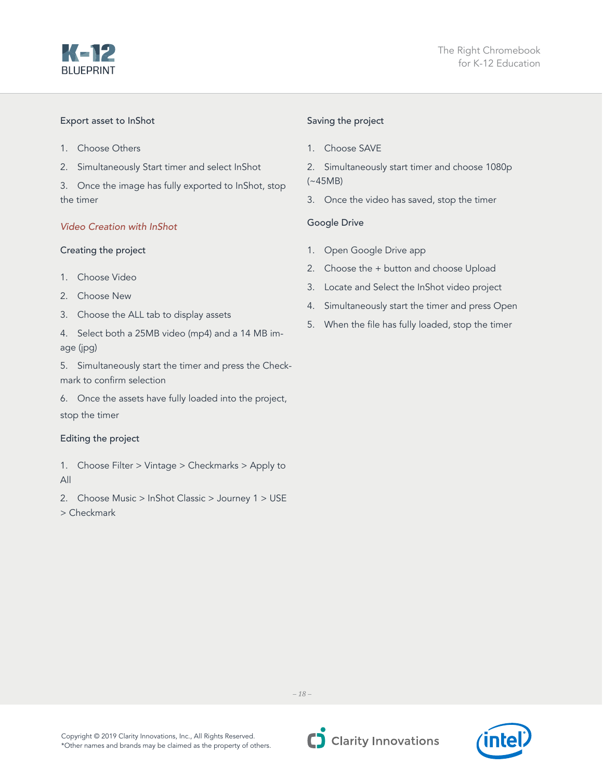

#### Export asset to InShot

- 1. Choose Others
- 2. Simultaneously Start timer and select InShot

3. Once the image has fully exported to InShot, stop the timer

#### *Video Creation with InShot*

#### Creating the project

- 1. Choose Video
- 2. Choose New
- 3. Choose the ALL tab to display assets
- 4. Select both a 25MB video (mp4) and a 14 MB image (jpg)
- 5. Simultaneously start the timer and press the Checkmark to confirm selection
- 6. Once the assets have fully loaded into the project,

#### stop the timer

#### Editing the project

- 1. Choose Filter > Vintage > Checkmarks > Apply to All
- 2. Choose Music > InShot Classic > Journey 1 > USE > Checkmark

#### Saving the project

- 1. Choose SAVE
- 2. Simultaneously start timer and choose 1080p (~45MB)
- 3. Once the video has saved, stop the timer

#### Google Drive

- 1. Open Google Drive app
- 2. Choose the + button and choose Upload
- 3. Locate and Select the InShot video project
- 4. Simultaneously start the timer and press Open
- 5. When the file has fully loaded, stop the timer



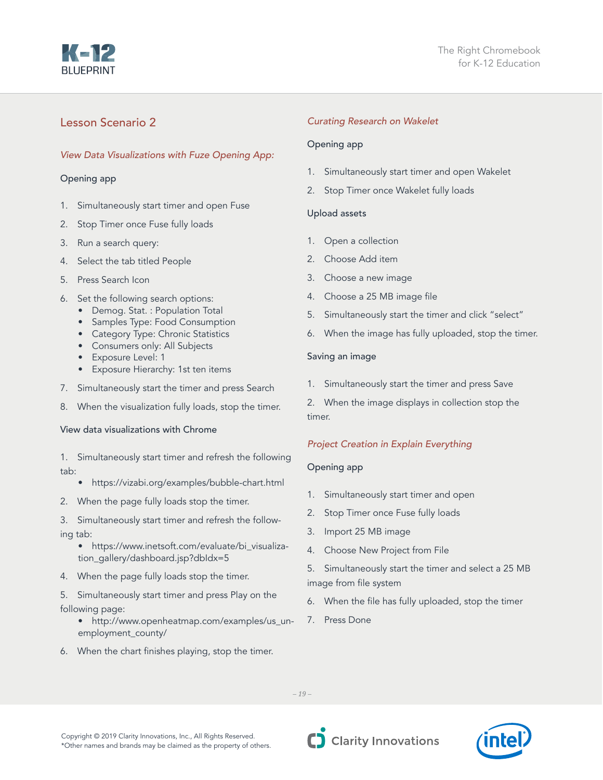## A zi

#### Lesson Scenario 2

#### *View Data Visualizations with Fuze Opening App:*

#### Opening app

- 1. Simultaneously start timer and open Fuse
- 2. Stop Timer once Fuse fully loads
- 3. Run a search query:
- 4. Select the tab titled People
- 5. Press Search Icon
- 6. Set the following search options:
	- Demog. Stat. : Population Total
	- Samples Type: Food Consumption
	- Category Type: Chronic Statistics
	- Consumers only: All Subjects
	- Exposure Level: 1
	- Exposure Hierarchy: 1st ten items
- 7. Simultaneously start the timer and press Search
- 8. When the visualization fully loads, stop the timer.

#### View data visualizations with Chrome

- 1. Simultaneously start timer and refresh the following tab:
	- https://vizabi.org/examples/bubble-chart.html
- 2. When the page fully loads stop the timer.
- 3. Simultaneously start timer and refresh the following tab:
	- https://www.inetsoft.com/evaluate/bi\_visualization\_gallery/dashboard.jsp?dbIdx=5
- 4. When the page fully loads stop the timer.

5. Simultaneously start timer and press Play on the following page:

- http://www.openheatmap.com/examples/us\_unemployment\_county/
- 6. When the chart finishes playing, stop the timer.

#### *Curating Research on Wakelet*

#### Opening app

- 1. Simultaneously start timer and open Wakelet
- 2. Stop Timer once Wakelet fully loads

#### Upload assets

- 1. Open a collection
- 2. Choose Add item
- 3. Choose a new image
- 4. Choose a 25 MB image file
- 5. Simultaneously start the timer and click "select"
- 6. When the image has fully uploaded, stop the timer.

#### Saving an image

1. Simultaneously start the timer and press Save

2. When the image displays in collection stop the timer.

#### *Project Creation in Explain Everything*

#### Opening app

- 1. Simultaneously start timer and open
- 2. Stop Timer once Fuse fully loads
- 3. Import 25 MB image
- 4. Choose New Project from File
- 5. Simultaneously start the timer and select a 25 MB image from file system
- 6. When the file has fully uploaded, stop the timer
- 7. Press Done

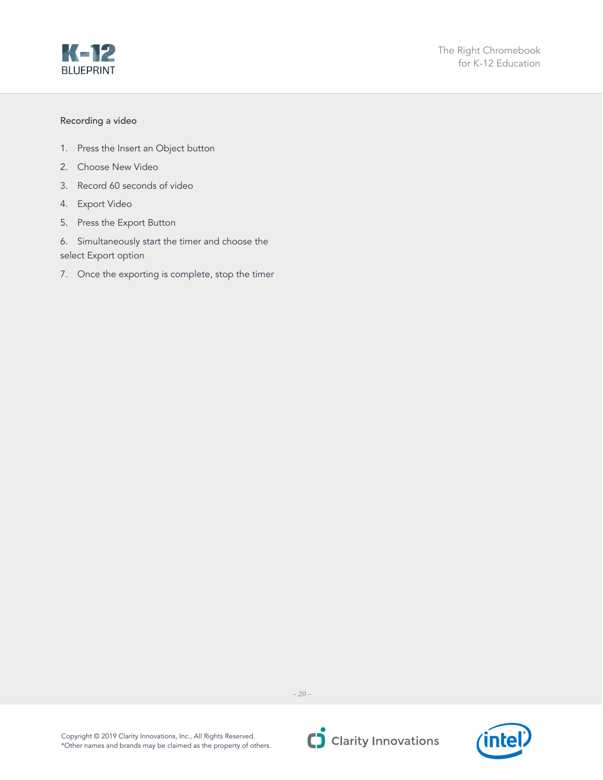

#### Recording a video

- 1. Press the Insert an Object button
- 2. Choose New Video
- 3. Record 60 seconds of video
- 4. Export Video
- 5. Press the Export Button
- 6. Simultaneously start the timer and choose the select Export option
- 7. Once the exporting is complete, stop the timer



*– 20 –*



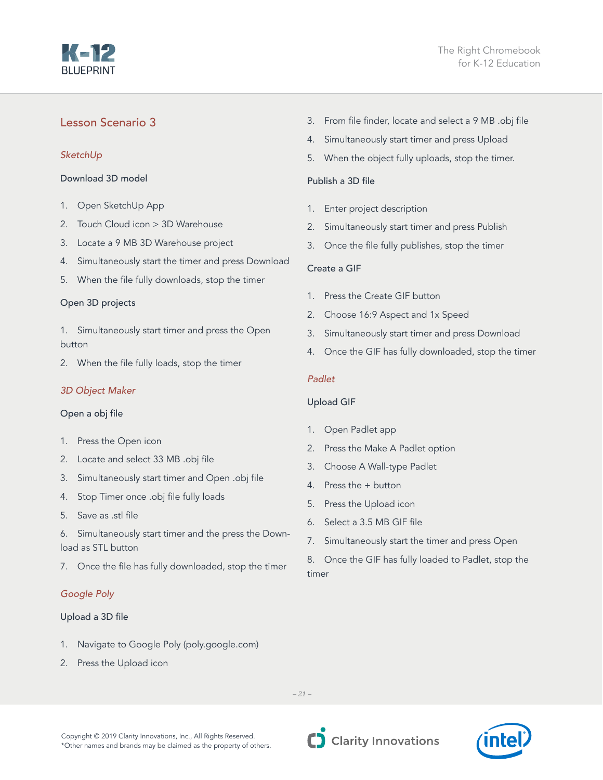# KeNZ

#### Lesson Scenario 3

#### *SketchUp*

Download 3D model

- 1. Open SketchUp App
- 2. Touch Cloud icon > 3D Warehouse
- 3. Locate a 9 MB 3D Warehouse project
- 4. Simultaneously start the timer and press Download
- 5. When the file fully downloads, stop the timer

#### Open 3D projects

1. Simultaneously start timer and press the Open button

2. When the file fully loads, stop the timer

#### *3D Object Maker*

#### Open a obj file

- 1. Press the Open icon
- 2. Locate and select 33 MB .obj file
- 3. Simultaneously start timer and Open .obj file
- 4. Stop Timer once .obj file fully loads
- 5. Save as .stl file

6. Simultaneously start timer and the press the Download as STL button

7. Once the file has fully downloaded, stop the timer

#### *Google Poly*

#### Upload a 3D file

- 1. Navigate to Google Poly (poly.google.com)
- 2. Press the Upload icon
- 3. From file finder, locate and select a 9 MB .obj file
- 4. Simultaneously start timer and press Upload
- 5. When the object fully uploads, stop the timer.

#### Publish a 3D file

- 1. Enter project description
- 2. Simultaneously start timer and press Publish
- 3. Once the file fully publishes, stop the timer

#### Create a GIF

- 1. Press the Create GIF button
- 2. Choose 16:9 Aspect and 1x Speed
- 3. Simultaneously start timer and press Download
- 4. Once the GIF has fully downloaded, stop the timer

#### *Padlet*

#### Upload GIF

- 1. Open Padlet app
- 2. Press the Make A Padlet option
- 3. Choose A Wall-type Padlet
- 4. Press the + button
- 5. Press the Upload icon
- 6. Select a 3.5 MB GIF file
- 7. Simultaneously start the timer and press Open

8. Once the GIF has fully loaded to Padlet, stop the timer